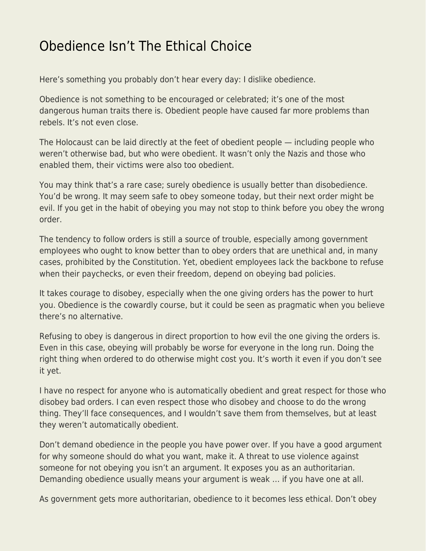## [Obedience Isn't The Ethical Choice](https://everything-voluntary.com/obedience-isnt-the-ethical-choice)

Here's something you probably don't hear every day: I dislike obedience.

Obedience is not something to be encouraged or celebrated; it's one of the most dangerous human traits there is. Obedient people have caused far more problems than rebels. It's not even close.

The Holocaust can be laid directly at the feet of obedient people — including people who weren't otherwise bad, but who were obedient. It wasn't only the Nazis and those who enabled them, their victims were also too obedient.

You may think that's a rare case; surely obedience is usually better than disobedience. You'd be wrong. It may seem safe to obey someone today, but their next order might be evil. If you get in the habit of obeying you may not stop to think before you obey the wrong order.

The tendency to follow orders is still a source of trouble, especially among government employees who ought to know better than to obey orders that are unethical and, in many cases, prohibited by the Constitution. Yet, obedient employees lack the backbone to refuse when their paychecks, or even their freedom, depend on obeying bad policies.

It takes courage to disobey, especially when the one giving orders has the power to hurt you. Obedience is the cowardly course, but it could be seen as pragmatic when you believe there's no alternative.

Refusing to obey is dangerous in direct proportion to how evil the one giving the orders is. Even in this case, obeying will probably be worse for everyone in the long run. Doing the right thing when ordered to do otherwise might cost you. It's worth it even if you don't see it yet.

I have no respect for anyone who is automatically obedient and great respect for those who disobey bad orders. I can even respect those who disobey and choose to do the wrong thing. They'll face consequences, and I wouldn't save them from themselves, but at least they weren't automatically obedient.

Don't demand obedience in the people you have power over. If you have a good argument for why someone should do what you want, make it. A threat to use violence against someone for not obeying you isn't an argument. It exposes you as an authoritarian. Demanding obedience usually means your argument is weak … if you have one at all.

As government gets more authoritarian, obedience to it becomes less ethical. Don't obey